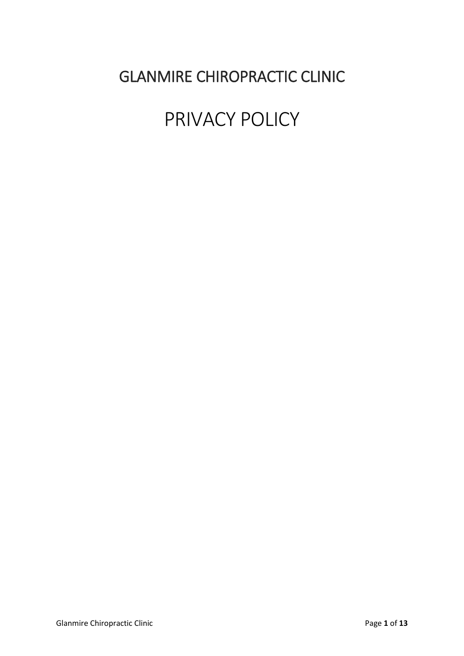# GLANMIRE CHIROPRACTIC CLINIC

# PRIVACY POLICY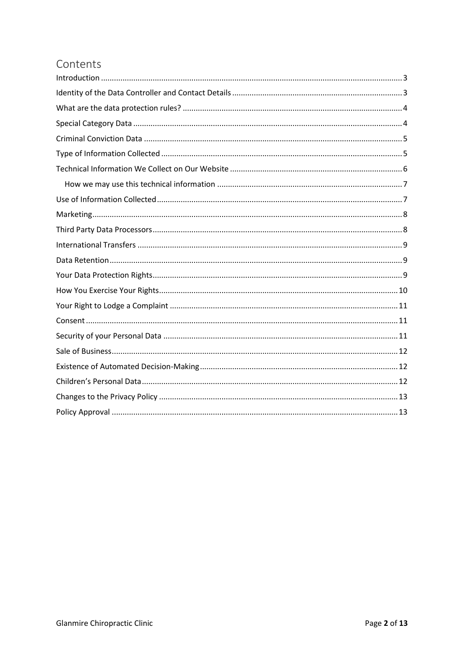# Contents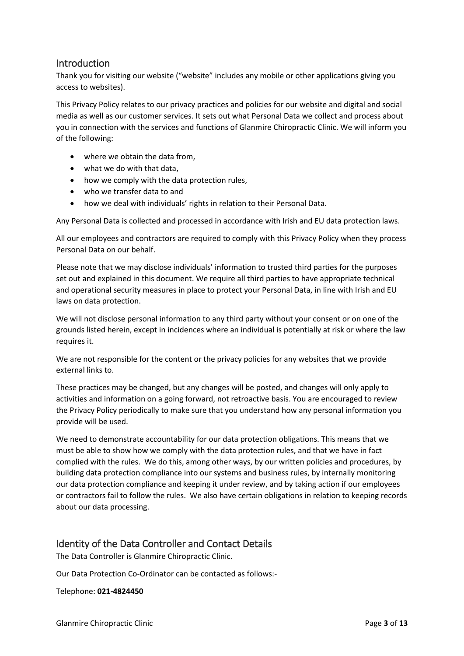#### <span id="page-2-0"></span>**Introduction**

Thank you for visiting our website ("website" includes any mobile or other applications giving you access to websites).

This Privacy Policy relates to our privacy practices and policies for our website and digital and social media as well as our customer services. It sets out what Personal Data we collect and process about you in connection with the services and functions of Glanmire Chiropractic Clinic. We will inform you of the following:

- where we obtain the data from,
- what we do with that data,
- how we comply with the data protection rules,
- who we transfer data to and
- how we deal with individuals' rights in relation to their Personal Data.

Any Personal Data is collected and processed in accordance with Irish and EU data protection laws.

All our employees and contractors are required to comply with this Privacy Policy when they process Personal Data on our behalf.

Please note that we may disclose individuals' information to trusted third parties for the purposes set out and explained in this document. We require all third parties to have appropriate technical and operational security measures in place to protect your Personal Data, in line with Irish and EU laws on data protection.

We will not disclose personal information to any third party without your consent or on one of the grounds listed herein, except in incidences where an individual is potentially at risk or where the law requires it.

We are not responsible for the content or the privacy policies for any websites that we provide external links to.

These practices may be changed, but any changes will be posted, and changes will only apply to activities and information on a going forward, not retroactive basis. You are encouraged to review the Privacy Policy periodically to make sure that you understand how any personal information you provide will be used.

We need to demonstrate accountability for our data protection obligations. This means that we must be able to show how we comply with the data protection rules, and that we have in fact complied with the rules. We do this, among other ways, by our written policies and procedures, by building data protection compliance into our systems and business rules, by internally monitoring our data protection compliance and keeping it under review, and by taking action if our employees or contractors fail to follow the rules. We also have certain obligations in relation to keeping records about our data processing.

# <span id="page-2-1"></span>Identity of the Data Controller and Contact Details

The Data Controller is Glanmire Chiropractic Clinic.

Our Data Protection Co-Ordinator can be contacted as follows:-

Telephone: **021-4824450**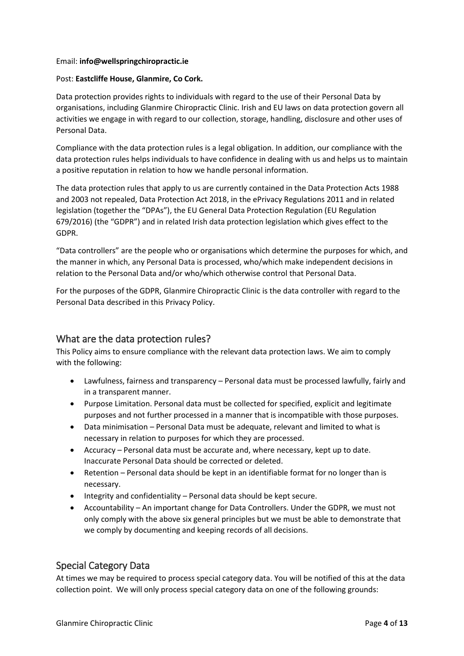#### Email: **info@wellspringchiropractic.ie**

#### Post: **Eastcliffe House, Glanmire, Co Cork.**

Data protection provides rights to individuals with regard to the use of their Personal Data by organisations, including Glanmire Chiropractic Clinic. Irish and EU laws on data protection govern all activities we engage in with regard to our collection, storage, handling, disclosure and other uses of Personal Data.

Compliance with the data protection rules is a legal obligation. In addition, our compliance with the data protection rules helps individuals to have confidence in dealing with us and helps us to maintain a positive reputation in relation to how we handle personal information.

The data protection rules that apply to us are currently contained in the Data Protection Acts 1988 and 2003 not repealed, Data Protection Act 2018, in the ePrivacy Regulations 2011 and in related legislation (together the "DPAs"), the EU General Data Protection Regulation (EU Regulation 679/2016) (the "GDPR") and in related Irish data protection legislation which gives effect to the GDPR.

"Data controllers" are the people who or organisations which determine the purposes for which, and the manner in which, any Personal Data is processed, who/which make independent decisions in relation to the Personal Data and/or who/which otherwise control that Personal Data.

For the purposes of the GDPR, Glanmire Chiropractic Clinic is the data controller with regard to the Personal Data described in this Privacy Policy.

#### <span id="page-3-0"></span>What are the data protection rules?

This Policy aims to ensure compliance with the relevant data protection laws. We aim to comply with the following:

- Lawfulness, fairness and transparency Personal data must be processed lawfully, fairly and in a transparent manner.
- Purpose Limitation. Personal data must be collected for specified, explicit and legitimate purposes and not further processed in a manner that is incompatible with those purposes.
- Data minimisation Personal Data must be adequate, relevant and limited to what is necessary in relation to purposes for which they are processed.
- Accuracy Personal data must be accurate and, where necessary, kept up to date. Inaccurate Personal Data should be corrected or deleted.
- Retention Personal data should be kept in an identifiable format for no longer than is necessary.
- Integrity and confidentiality Personal data should be kept secure.
- Accountability An important change for Data Controllers. Under the GDPR, we must not only comply with the above six general principles but we must be able to demonstrate that we comply by documenting and keeping records of all decisions.

#### <span id="page-3-1"></span>Special Category Data

At times we may be required to process special category data. You will be notified of this at the data collection point. We will only process special category data on one of the following grounds: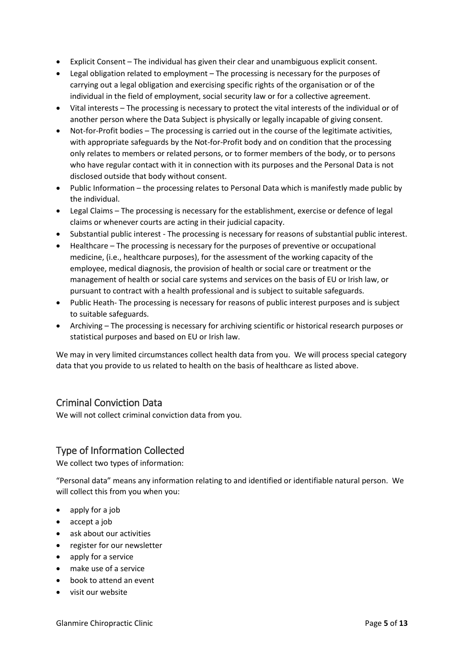- Explicit Consent The individual has given their clear and unambiguous explicit consent.
- Legal obligation related to employment The processing is necessary for the purposes of carrying out a legal obligation and exercising specific rights of the organisation or of the individual in the field of employment, social security law or for a collective agreement.
- Vital interests The processing is necessary to protect the vital interests of the individual or of another person where the Data Subject is physically or legally incapable of giving consent.
- Not-for-Profit bodies The processing is carried out in the course of the legitimate activities, with appropriate safeguards by the Not-for-Profit body and on condition that the processing only relates to members or related persons, or to former members of the body, or to persons who have regular contact with it in connection with its purposes and the Personal Data is not disclosed outside that body without consent.
- Public Information the processing relates to Personal Data which is manifestly made public by the individual.
- Legal Claims The processing is necessary for the establishment, exercise or defence of legal claims or whenever courts are acting in their judicial capacity.
- Substantial public interest The processing is necessary for reasons of substantial public interest.
- Healthcare The processing is necessary for the purposes of preventive or occupational medicine, (i.e., healthcare purposes), for the assessment of the working capacity of the employee, medical diagnosis, the provision of health or social care or treatment or the management of health or social care systems and services on the basis of EU or Irish law, or pursuant to contract with a health professional and is subject to suitable safeguards.
- Public Heath- The processing is necessary for reasons of public interest purposes and is subject to suitable safeguards.
- Archiving The processing is necessary for archiving scientific or historical research purposes or statistical purposes and based on EU or Irish law.

We may in very limited circumstances collect health data from you. We will process special category data that you provide to us related to health on the basis of healthcare as listed above.

#### <span id="page-4-0"></span>Criminal Conviction Data

We will not collect criminal conviction data from you.

#### <span id="page-4-1"></span>Type of Information Collected

We collect two types of information:

"Personal data" means any information relating to and identified or identifiable natural person. We will collect this from you when you:

- apply for a job
- accept a job
- ask about our activities
- register for our newsletter
- apply for a service
- make use of a service
- book to attend an event
- visit our website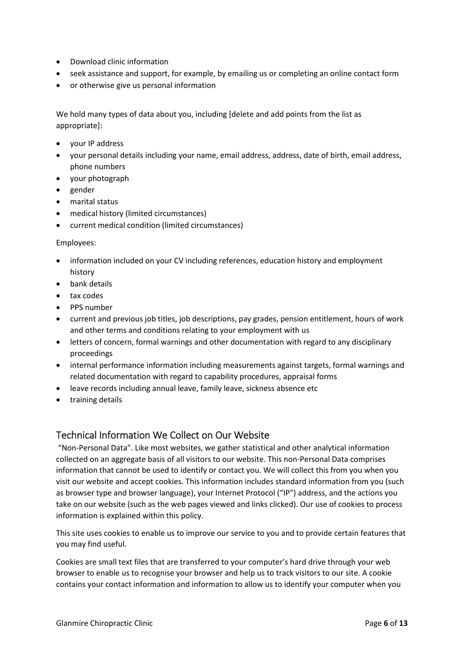- Download clinic information
- seek assistance and support, for example, by emailing us or completing an online contact form
- or otherwise give us personal information

We hold many types of data about you, including [delete and add points from the list as appropriate]:

- your IP address
- your personal details including your name, email address, address, date of birth, email address, phone numbers
- your photograph
- gender
- marital status
- medical history (limited circumstances)
- current medical condition (limited circumstances)

#### Employees:

- information included on your CV including references, education history and employment history
- bank details
- tax codes
- PPS number
- current and previous job titles, job descriptions, pay grades, pension entitlement, hours of work and other terms and conditions relating to your employment with us
- letters of concern, formal warnings and other documentation with regard to any disciplinary proceedings
- internal performance information including measurements against targets, formal warnings and related documentation with regard to capability procedures, appraisal forms
- leave records including annual leave, family leave, sickness absence etc
- training details

#### <span id="page-5-0"></span>Technical Information We Collect on Our Website

"Non-Personal Data". Like most websites, we gather statistical and other analytical information collected on an aggregate basis of all visitors to our website. This non-Personal Data comprises information that cannot be used to identify or contact you. We will collect this from you when you visit our website and accept cookies. This information includes standard information from you (such as browser type and browser language), your Internet Protocol ("IP") address, and the actions you take on our website (such as the web pages viewed and links clicked). Our use of cookies to process information is explained within this policy.

This site uses cookies to enable us to improve our service to you and to provide certain features that you may find useful.

Cookies are small text files that are transferred to your computer's hard drive through your web browser to enable us to recognise your browser and help us to track visitors to our site. A cookie contains your contact information and information to allow us to identify your computer when you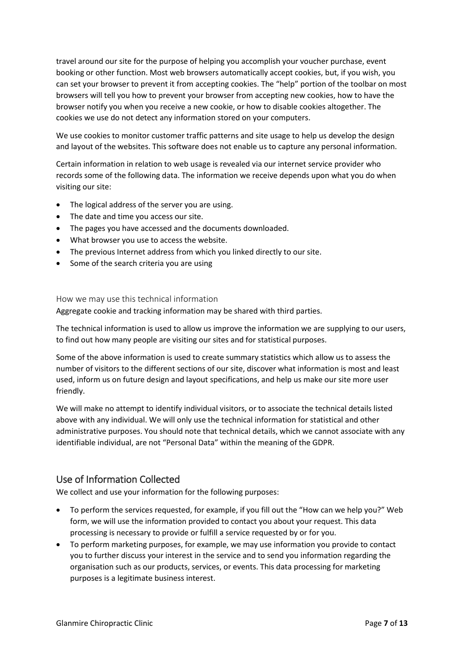travel around our site for the purpose of helping you accomplish your voucher purchase, event booking or other function. Most web browsers automatically accept cookies, but, if you wish, you can set your browser to prevent it from accepting cookies. The "help" portion of the toolbar on most browsers will tell you how to prevent your browser from accepting new cookies, how to have the browser notify you when you receive a new cookie, or how to disable cookies altogether. The cookies we use do not detect any information stored on your computers.

We use cookies to monitor customer traffic patterns and site usage to help us develop the design and layout of the websites. This software does not enable us to capture any personal information.

Certain information in relation to web usage is revealed via our internet service provider who records some of the following data. The information we receive depends upon what you do when visiting our site:

- The logical address of the server you are using.
- The date and time you access our site.
- The pages you have accessed and the documents downloaded.
- What browser you use to access the website.
- The previous Internet address from which you linked directly to our site.
- Some of the search criteria you are using

#### <span id="page-6-0"></span>How we may use this technical information

Aggregate cookie and tracking information may be shared with third parties.

The technical information is used to allow us improve the information we are supplying to our users, to find out how many people are visiting our sites and for statistical purposes.

Some of the above information is used to create summary statistics which allow us to assess the number of visitors to the different sections of our site, discover what information is most and least used, inform us on future design and layout specifications, and help us make our site more user friendly.

We will make no attempt to identify individual visitors, or to associate the technical details listed above with any individual. We will only use the technical information for statistical and other administrative purposes. You should note that technical details, which we cannot associate with any identifiable individual, are not "Personal Data" within the meaning of the GDPR.

#### <span id="page-6-1"></span>Use of Information Collected

We collect and use your information for the following purposes:

- To perform the services requested, for example, if you fill out the "How can we help you?" Web form, we will use the information provided to contact you about your request. This data processing is necessary to provide or fulfill a service requested by or for you.
- To perform marketing purposes, for example, we may use information you provide to contact you to further discuss your interest in the service and to send you information regarding the organisation such as our products, services, or events. This data processing for marketing purposes is a legitimate business interest.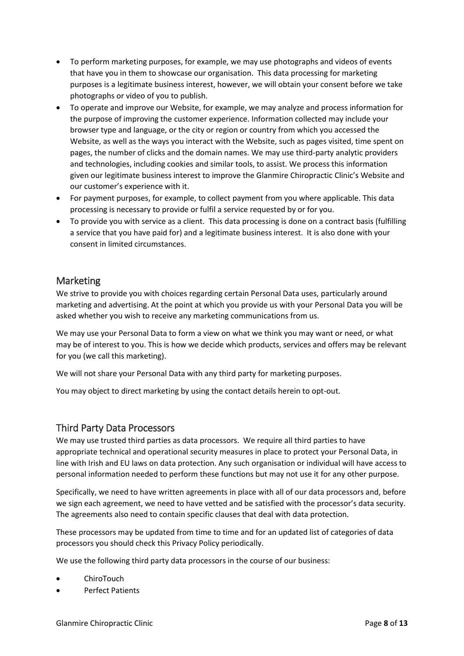- To perform marketing purposes, for example, we may use photographs and videos of events that have you in them to showcase our organisation. This data processing for marketing purposes is a legitimate business interest, however, we will obtain your consent before we take photographs or video of you to publish.
- To operate and improve our Website, for example, we may analyze and process information for the purpose of improving the customer experience. Information collected may include your browser type and language, or the city or region or country from which you accessed the Website, as well as the ways you interact with the Website, such as pages visited, time spent on pages, the number of clicks and the domain names. We may use third-party analytic providers and technologies, including cookies and similar tools, to assist. We process this information given our legitimate business interest to improve the Glanmire Chiropractic Clinic's Website and our customer's experience with it.
- For payment purposes, for example, to collect payment from you where applicable. This data processing is necessary to provide or fulfil a service requested by or for you.
- To provide you with service as a client. This data processing is done on a contract basis (fulfilling a service that you have paid for) and a legitimate business interest. It is also done with your consent in limited circumstances.

#### <span id="page-7-0"></span>Marketing

We strive to provide you with choices regarding certain Personal Data uses, particularly around marketing and advertising. At the point at which you provide us with your Personal Data you will be asked whether you wish to receive any marketing communications from us.

We may use your Personal Data to form a view on what we think you may want or need, or what may be of interest to you. This is how we decide which products, services and offers may be relevant for you (we call this marketing).

We will not share your Personal Data with any third party for marketing purposes.

You may object to direct marketing by using the contact details herein to opt-out.

#### <span id="page-7-1"></span>Third Party Data Processors

We may use trusted third parties as data processors. We require all third parties to have appropriate technical and operational security measures in place to protect your Personal Data, in line with Irish and EU laws on data protection. Any such organisation or individual will have access to personal information needed to perform these functions but may not use it for any other purpose.

Specifically, we need to have written agreements in place with all of our data processors and, before we sign each agreement, we need to have vetted and be satisfied with the processor's data security. The agreements also need to contain specific clauses that deal with data protection.

These processors may be updated from time to time and for an updated list of categories of data processors you should check this Privacy Policy periodically.

We use the following third party data processors in the course of our business:

- ChiroTouch
- Perfect Patients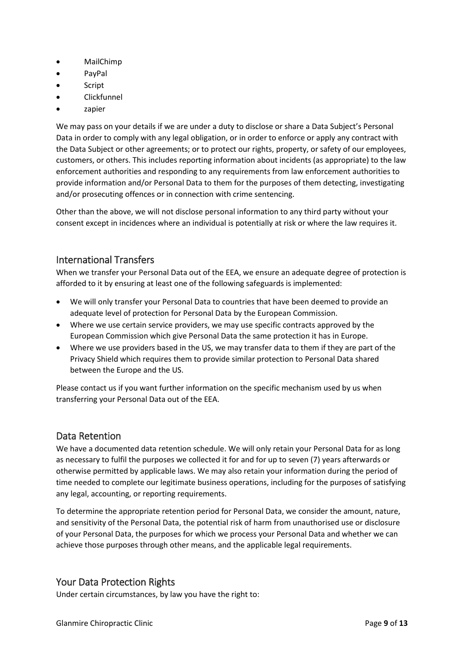- MailChimp
- PayPal
- Script
- Clickfunnel
- zapier

We may pass on your details if we are under a duty to disclose or share a Data Subject's Personal Data in order to comply with any legal obligation, or in order to enforce or apply any contract with the Data Subject or other agreements; or to protect our rights, property, or safety of our employees, customers, or others. This includes reporting information about incidents (as appropriate) to the law enforcement authorities and responding to any requirements from law enforcement authorities to provide information and/or Personal Data to them for the purposes of them detecting, investigating and/or prosecuting offences or in connection with crime sentencing.

Other than the above, we will not disclose personal information to any third party without your consent except in incidences where an individual is potentially at risk or where the law requires it.

#### <span id="page-8-0"></span>International Transfers

When we transfer your Personal Data out of the EEA, we ensure an adequate degree of protection is afforded to it by ensuring at least one of the following safeguards is implemented:

- We will only transfer your Personal Data to countries that have been deemed to provide an adequate level of protection for Personal Data by the European Commission.
- Where we use certain service providers, we may use specific contracts approved by the European Commission which give Personal Data the same protection it has in Europe.
- Where we use providers based in the US, we may transfer data to them if they are part of the Privacy Shield which requires them to provide similar protection to Personal Data shared between the Europe and the US.

Please contact us if you want further information on the specific mechanism used by us when transferring your Personal Data out of the EEA.

#### <span id="page-8-1"></span>Data Retention

We have a documented data retention schedule. We will only retain your Personal Data for as long as necessary to fulfil the purposes we collected it for and for up to seven (7) years afterwards or otherwise permitted by applicable laws. We may also retain your information during the period of time needed to complete our legitimate business operations, including for the purposes of satisfying any legal, accounting, or reporting requirements.

To determine the appropriate retention period for Personal Data, we consider the amount, nature, and sensitivity of the Personal Data, the potential risk of harm from unauthorised use or disclosure of your Personal Data, the purposes for which we process your Personal Data and whether we can achieve those purposes through other means, and the applicable legal requirements.

#### <span id="page-8-2"></span>Your Data Protection Rights

Under certain circumstances, by law you have the right to: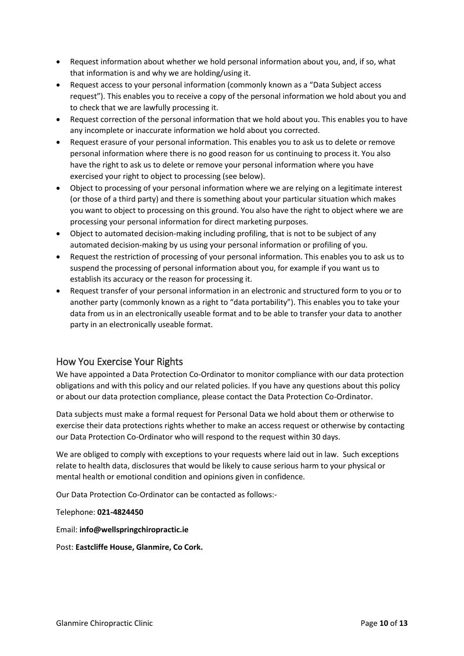- Request information about whether we hold personal information about you, and, if so, what that information is and why we are holding/using it.
- Request access to your personal information (commonly known as a "Data Subject access request"). This enables you to receive a copy of the personal information we hold about you and to check that we are lawfully processing it.
- Request correction of the personal information that we hold about you. This enables you to have any incomplete or inaccurate information we hold about you corrected.
- Request erasure of your personal information. This enables you to ask us to delete or remove personal information where there is no good reason for us continuing to process it. You also have the right to ask us to delete or remove your personal information where you have exercised your right to object to processing (see below).
- Object to processing of your personal information where we are relying on a legitimate interest (or those of a third party) and there is something about your particular situation which makes you want to object to processing on this ground. You also have the right to object where we are processing your personal information for direct marketing purposes.
- Object to automated decision-making including profiling, that is not to be subject of any automated decision-making by us using your personal information or profiling of you.
- Request the restriction of processing of your personal information. This enables you to ask us to suspend the processing of personal information about you, for example if you want us to establish its accuracy or the reason for processing it.
- Request transfer of your personal information in an electronic and structured form to you or to another party (commonly known as a right to "data portability"). This enables you to take your data from us in an electronically useable format and to be able to transfer your data to another party in an electronically useable format.

# <span id="page-9-0"></span>How You Exercise Your Rights

We have appointed a Data Protection Co-Ordinator to monitor compliance with our data protection obligations and with this policy and our related policies. If you have any questions about this policy or about our data protection compliance, please contact the Data Protection Co-Ordinator.

Data subjects must make a formal request for Personal Data we hold about them or otherwise to exercise their data protections rights whether to make an access request or otherwise by contacting our Data Protection Co-Ordinator who will respond to the request within 30 days.

We are obliged to comply with exceptions to your requests where laid out in law. Such exceptions relate to health data, disclosures that would be likely to cause serious harm to your physical or mental health or emotional condition and opinions given in confidence.

Our Data Protection Co-Ordinator can be contacted as follows:-

Telephone: **021-4824450**

Email: **info@wellspringchiropractic.ie**

Post: **Eastcliffe House, Glanmire, Co Cork.**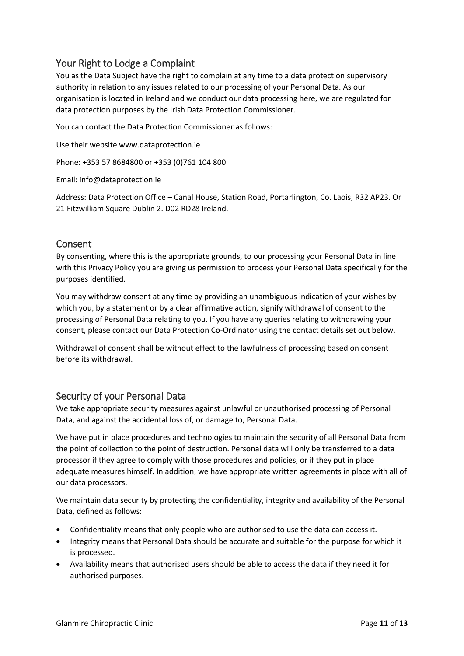#### <span id="page-10-0"></span>Your Right to Lodge a Complaint

You as the Data Subject have the right to complain at any time to a data protection supervisory authority in relation to any issues related to our processing of your Personal Data. As our organisation is located in Ireland and we conduct our data processing here, we are regulated for data protection purposes by the Irish Data Protection Commissioner.

You can contact the Data Protection Commissioner as follows:

Use their website www.dataprotection.ie

Phone: +353 57 8684800 or +353 (0)761 104 800

Email: info@dataprotection.ie

Address: Data Protection Office – Canal House, Station Road, Portarlington, Co. Laois, R32 AP23. Or 21 Fitzwilliam Square Dublin 2. D02 RD28 Ireland.

#### <span id="page-10-1"></span>Consent

By consenting, where this is the appropriate grounds, to our processing your Personal Data in line with this Privacy Policy you are giving us permission to process your Personal Data specifically for the purposes identified.

You may withdraw consent at any time by providing an unambiguous indication of your wishes by which you, by a statement or by a clear affirmative action, signify withdrawal of consent to the processing of Personal Data relating to you. If you have any queries relating to withdrawing your consent, please contact our Data Protection Co-Ordinator using the contact details set out below.

Withdrawal of consent shall be without effect to the lawfulness of processing based on consent before its withdrawal.

#### <span id="page-10-2"></span>Security of your Personal Data

We take appropriate security measures against unlawful or unauthorised processing of Personal Data, and against the accidental loss of, or damage to, Personal Data.

We have put in place procedures and technologies to maintain the security of all Personal Data from the point of collection to the point of destruction. Personal data will only be transferred to a data processor if they agree to comply with those procedures and policies, or if they put in place adequate measures himself. In addition, we have appropriate written agreements in place with all of our data processors.

We maintain data security by protecting the confidentiality, integrity and availability of the Personal Data, defined as follows:

- Confidentiality means that only people who are authorised to use the data can access it.
- Integrity means that Personal Data should be accurate and suitable for the purpose for which it is processed.
- Availability means that authorised users should be able to access the data if they need it for authorised purposes.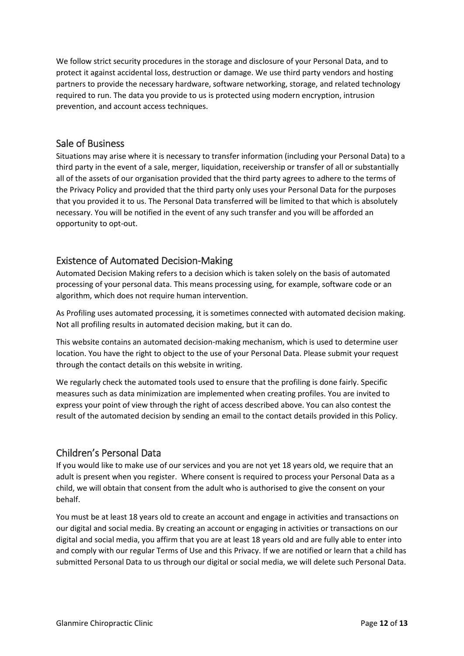We follow strict security procedures in the storage and disclosure of your Personal Data, and to protect it against accidental loss, destruction or damage. We use third party vendors and hosting partners to provide the necessary hardware, software networking, storage, and related technology required to run. The data you provide to us is protected using modern encryption, intrusion prevention, and account access techniques.

#### <span id="page-11-0"></span>Sale of Business

Situations may arise where it is necessary to transfer information (including your Personal Data) to a third party in the event of a sale, merger, liquidation, receivership or transfer of all or substantially all of the assets of our organisation provided that the third party agrees to adhere to the terms of the Privacy Policy and provided that the third party only uses your Personal Data for the purposes that you provided it to us. The Personal Data transferred will be limited to that which is absolutely necessary. You will be notified in the event of any such transfer and you will be afforded an opportunity to opt-out.

#### <span id="page-11-1"></span>Existence of Automated Decision-Making

Automated Decision Making refers to a decision which is taken solely on the basis of automated processing of your personal data. This means processing using, for example, software code or an algorithm, which does not require human intervention.

As Profiling uses automated processing, it is sometimes connected with automated decision making. Not all profiling results in automated decision making, but it can do.

This website contains an automated decision-making mechanism, which is used to determine user location. You have the right to object to the use of your Personal Data. Please submit your request through the contact details on this website in writing.

We regularly check the automated tools used to ensure that the profiling is done fairly. Specific measures such as data minimization are implemented when creating profiles. You are invited to express your point of view through the right of access described above. You can also contest the result of the automated decision by sending an email to the contact details provided in this Policy.

#### <span id="page-11-2"></span>Children's Personal Data

If you would like to make use of our services and you are not yet 18 years old, we require that an adult is present when you register. Where consent is required to process your Personal Data as a child, we will obtain that consent from the adult who is authorised to give the consent on your behalf.

You must be at least 18 years old to create an account and engage in activities and transactions on our digital and social media. By creating an account or engaging in activities or transactions on our digital and social media, you affirm that you are at least 18 years old and are fully able to enter into and comply with our regular Terms of Use and this Privacy. If we are notified or learn that a child has submitted Personal Data to us through our digital or social media, we will delete such Personal Data.